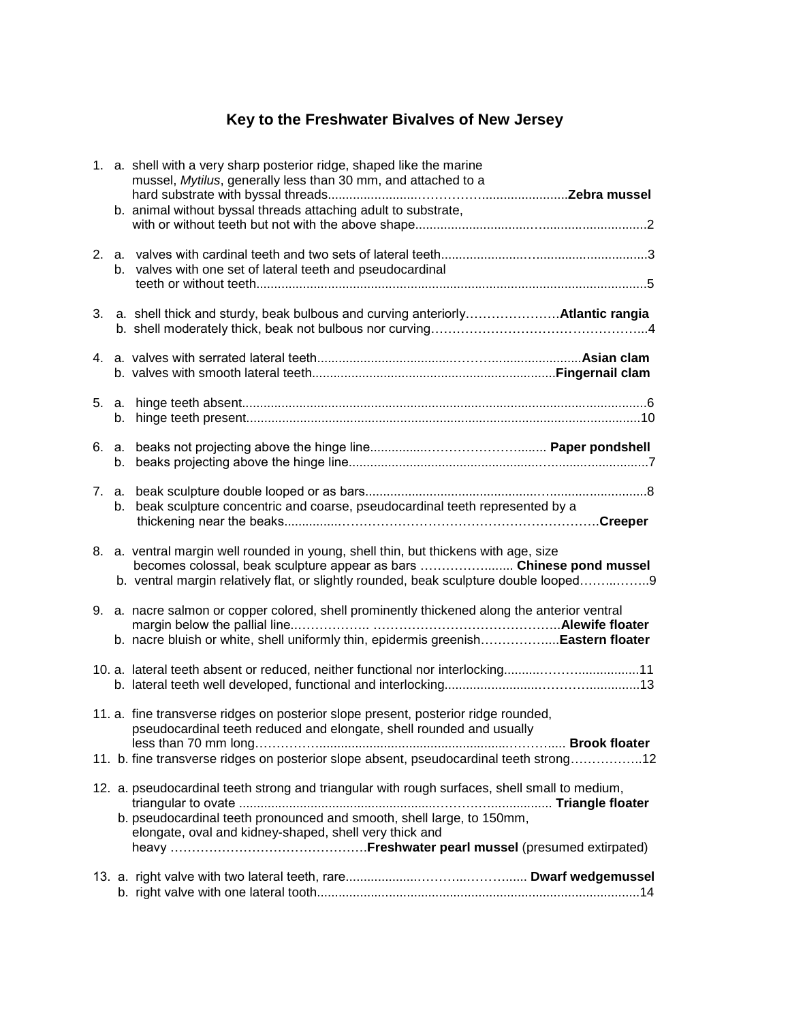## **Key to the Freshwater Bivalves of New Jersey**

|  | 1. a. shell with a very sharp posterior ridge, shaped like the marine<br>mussel, Mytilus, generally less than 30 mm, and attached to a                                                                                                               |
|--|------------------------------------------------------------------------------------------------------------------------------------------------------------------------------------------------------------------------------------------------------|
|  | b. animal without byssal threads attaching adult to substrate,                                                                                                                                                                                       |
|  | b. valves with one set of lateral teeth and pseudocardinal                                                                                                                                                                                           |
|  |                                                                                                                                                                                                                                                      |
|  |                                                                                                                                                                                                                                                      |
|  |                                                                                                                                                                                                                                                      |
|  |                                                                                                                                                                                                                                                      |
|  | b. beak sculpture concentric and coarse, pseudocardinal teeth represented by a                                                                                                                                                                       |
|  | 8. a. ventral margin well rounded in young, shell thin, but thickens with age, size<br>becomes colossal, beak sculpture appear as bars  Chinese pond mussel<br>b. ventral margin relatively flat, or slightly rounded, beak sculpture double looped9 |
|  | 9. a. nacre salmon or copper colored, shell prominently thickened along the anterior ventral<br>b. nacre bluish or white, shell uniformly thin, epidermis greenishEastern floater                                                                    |
|  | 11. a. lateral teeth absent or reduced, neither functional nor interlocking11                                                                                                                                                                        |
|  | 11. a. fine transverse ridges on posterior slope present, posterior ridge rounded,<br>pseudocardinal teeth reduced and elongate, shell rounded and usually                                                                                           |
|  | 11. b. fine transverse ridges on posterior slope absent, pseudocardinal teeth strong12                                                                                                                                                               |
|  | 12. a. pseudocardinal teeth strong and triangular with rough surfaces, shell small to medium,<br>b. pseudocardinal teeth pronounced and smooth, shell large, to 150mm,<br>elongate, oval and kidney-shaped, shell very thick and                     |
|  |                                                                                                                                                                                                                                                      |
|  |                                                                                                                                                                                                                                                      |